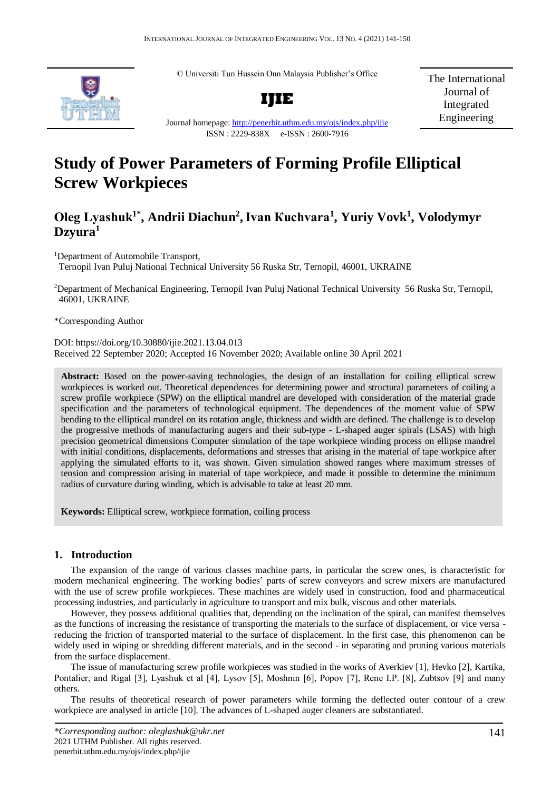© Universiti Tun Hussein Onn Malaysia Publisher's Office



**IJIE**

The International Journal of Integrated Engineering

Journal homepage:<http://penerbit.uthm.edu.my/ojs/index.php/ijie> ISSN : 2229-838X e-ISSN : 2600-7916

# **Study of Power Parameters of Forming Profile Elliptical Screw Workpieces**

# **Оleg Lyashuk1\*, Andrii Diachun<sup>2</sup> ,Ivan Кuchvara<sup>1</sup> , Yuriy Vovk<sup>1</sup> , Volodymyr Dzyura<sup>1</sup>**

<sup>1</sup>Department of Automobile Transport,

Ternopil Ivan Puluj National Technical University 56 Ruska Str, Ternopil, 46001, UKRAINE

<sup>2</sup>Department of Mechanical Engineering, Ternopil Ivan Puluj National Technical University 56 Ruska Str, Ternopil, 46001, UKRAINE

\*Corresponding Author

DOI: https://doi.org/10.30880/ijie.2021.13.04.013 Received 22 September 2020; Accepted 16 November 2020; Available online 30 April 2021

**Abstract:** Based on the power-saving technologies, the design of an installation for coiling elliptical screw workpieces is worked out. Theoretical dependences for determining power and structural parameters of coiling a screw profile workpiece (SPW) on the elliptical mandrel are developed with consideration of the material grade specification and the parameters of technological equipment. The dependences of the moment value of SPW bending to the elliptical mandrel on its rotation angle, thickness and width are defined. The challenge is to develop the progressive methods of manufacturing augers and their sub-type - L-shaped auger spirals (LSAS) with high precision geometrical dimensions Computer simulation of the tape workpiece winding process on ellipse mandrel with initial conditions, displacements, deformations and stresses that arising in the material of tape workpice after applying the simulated efforts to it, was shown. Given simulation showed ranges where maximum stresses of tension and compression arising in material of tape workpiece, and made it possible to determine the minimum radius of curvature during winding, which is advisable to take at least 20 mm.

**Keywords:** Elliptical screw, workpiece formation, coiling process

# **1. Introduction**

The expansion of the range of various classes machine parts, in particular the screw ones, is characteristic for modern mechanical engineering. The working bodies' parts of screw conveyors and screw mixers are manufactured with the use of screw profile workpieces. These machines are widely used in construction, food and pharmaceutical processing industries, and particularly in agriculture to transport and mix bulk, viscous and other materials.

However, they possess additional qualities that, depending on the inclination of the spiral, can manifest themselves as the functions of increasing the resistance of transporting the materials to the surface of displacement, or vice versa reducing the friction of transported material to the surface of displacement. In the first case, this phenomenon can be widely used in wiping or shredding different materials, and in the second - in separating and pruning various materials from the surface displacement.

The issue of manufacturing screw profile workpieces was studied in the works of Averkiev [1], Hevko [2], Kartika, Pontalier, and Rigal [3], Lyashuk et al [4], Lysov [5], Moshnin [6], Popov [7], Rene I.P. [8], Zubtsov [9] and many others.

The results of theoretical research of power parameters while forming the deflected outer contour of a crew workpiece are analysed in article [10]. The advances of L-shaped auger cleaners are substantiated.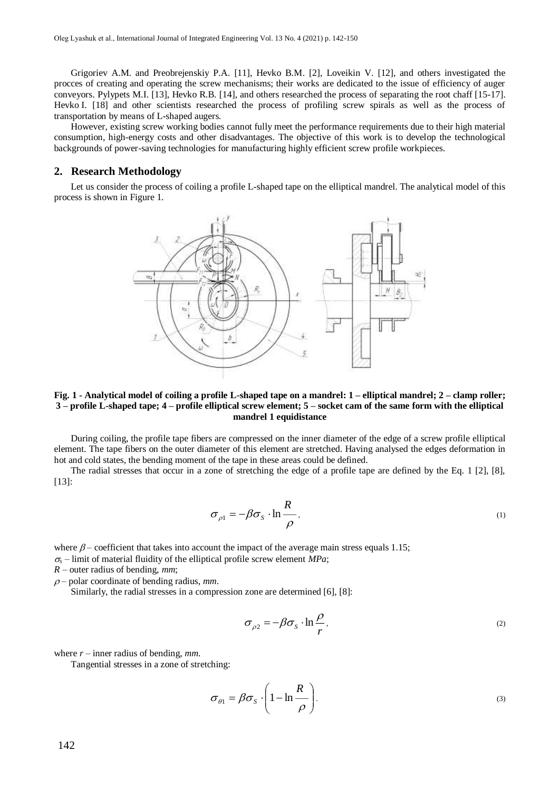Grigoriev A.M. and Preobrejenskiy P.A. [11], Hevko B.M. [2], Loveikin V. [12], and others investigated the procces of creating and operating the screw mechanisms; their works are dedicated to the issue of efficiency of auger conveyors. Pylypets M.I. [13], Hevko R.B. [14], and others researched the process of separating the root chaff [15-17]. Hevko I. [18] and other scientists researched the process of profiling screw spirals as well as the process of transportation by means of L-shaped augers.

However, existing screw working bodies cannot fully meet the performance requirements due to their high material consumption, high-energy costs and other disadvantages. The objective of this work is to develop the technological backgrounds of power-saving technologies for manufacturing highly efficient screw profile workpieces.

## **2. Research Methodology**

Let us consider the process of coiling a profile L-shaped tape on the elliptical mandrel. The analytical model of this process is shown in Figure 1.



#### **Fig. 1 - Analytical model of coiling a profile L-shaped tape on a mandrel: 1 – elliptical mandrel; 2 – clamp roller; 3 – profile L-shaped tape; 4 – profile elliptical screw element; 5 – socket cam of the same form with the elliptical mandrel 1 equidistance**

During coiling, the profile tape fibers are compressed on the inner diameter of the edge of a screw profile elliptical element. The tape fibers on the outer diameter of this element are stretched. Having analysed the edges deformation in hot and cold states, the bending moment of the tape in these areas could be defined.

The radial stresses that occur in a zone of stretching the edge of a profile tape are defined by the Eq. 1 [2], [8], [13]:

$$
\sigma_{\rho 1} = -\beta \sigma_s \cdot \ln \frac{R}{\rho} \tag{1}
$$

where  $\beta$  – coefficient that takes into account the impact of the average main stress equals 1.15;  $\sigma_s$  – limit of material fluidity of the elliptical profile screw element *MPa*;

*R* – outer radius of bending, *mm*;

 $\rho$  – polar coordinate of bending radius, *mm*.

Similarly, the radial stresses in a compression zone are determined [6], [8]:

$$
\sigma_{\rho 2} = -\beta \sigma_s \cdot \ln \frac{\rho}{r},\tag{2}
$$

where  $r$  – inner radius of bending,  $mm$ .

Tangential stresses in a zone of stretching:

$$
\sigma_{\theta 1} = \beta \sigma_s \cdot \left(1 - \ln \frac{R}{\rho}\right).
$$
\n(3)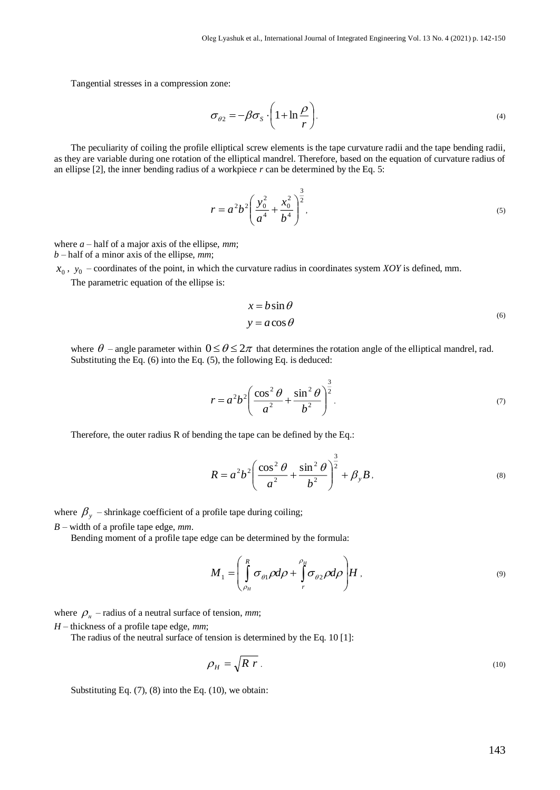Tangential stresses in a compression zone:

$$
\sigma_{\theta 2} = -\beta \sigma_{s} \cdot \left(1 + \ln \frac{\rho}{r}\right).
$$
\n(4)

The peculiarity of coiling the profile elliptical screw elements is the tape curvature radii and the tape bending radii, as they are variable during one rotation of the elliptical mandrel. Therefore, based on the equation of curvature radius of an ellipse  $[2]$ , the inner bending radius of a workpiece  $r$  can be determined by the Eq. 5:

$$
r = a^2 b^2 \left(\frac{y_0^2}{a^4} + \frac{x_0^2}{b^4}\right)^{\frac{3}{2}},
$$
\n(5)

where  $a$  – half of a major axis of the ellipse,  $mm$ ;

*b* – half of a minor axis of the ellipse, *mm*;

 $x_0$ ,  $y_0$  – coordinates of the point, in which the curvature radius in coordinates system *XOY* is defined, mm.

The parametric equation of the ellipse is:

$$
x = b \sin \theta
$$
  
y = a cos  $\theta$  (6)

where  $\theta$  – angle parameter within  $0 \le \theta \le 2\pi$  that determines the rotation angle of the elliptical mandrel, rad. Substituting the Eq. (6) into the Eq. (5), the following Eq. is deduced:

$$
r = a^2 b^2 \left( \frac{\cos^2 \theta}{a^2} + \frac{\sin^2 \theta}{b^2} \right)^{\frac{3}{2}}.
$$
 (7)

Therefore, the outer radius R of bending the tape can be defined by the Eq.:

$$
R = a^2 b^2 \left( \frac{\cos^2 \theta}{a^2} + \frac{\sin^2 \theta}{b^2} \right)^{\frac{3}{2}} + \beta_{y} B,
$$
 (8)

where  $\beta_{y}$  – shrinkage coefficient of a profile tape during coiling;

*B* – width of a profile tape edge, *mm*.

Bending moment of a profile tape edge can be determined by the formula:

$$
M_1 = \left(\int_{\rho_H}^R \sigma_{\theta 1} \rho d\rho + \int_{r}^{\rho_H} \sigma_{\theta 2} \rho d\rho\right) H,
$$
\n(9)

where  $\rho_n$  – radius of a neutral surface of tension, *mm*;

*H* – thickness of a profile tape edge, *mm*;

The radius of the neutral surface of tension is determined by the Eq. 10 [1]:

$$
\rho_H = \sqrt{R \ r} \tag{10}
$$

Substituting Eq. (7), (8) into the Eq. (10), we obtain: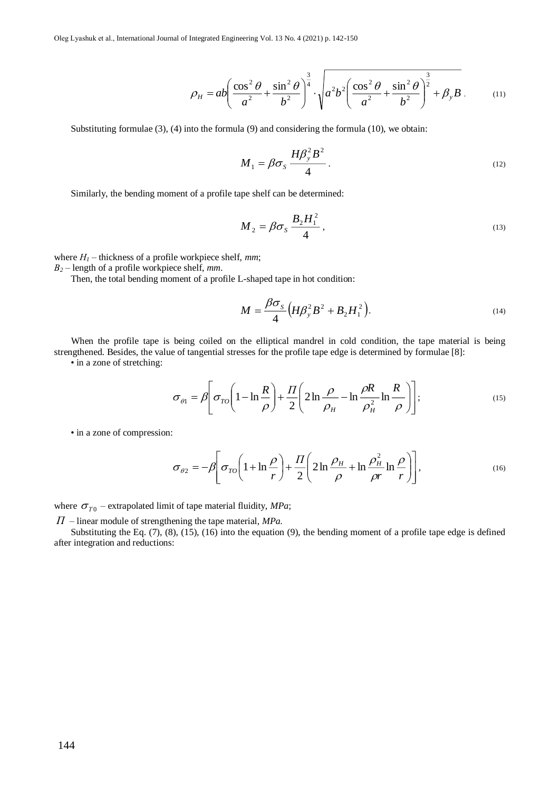$$
\rho_H = ab \left( \frac{\cos^2 \theta}{a^2} + \frac{\sin^2 \theta}{b^2} \right)^{\frac{3}{4}} \cdot \sqrt{a^2 b^2 \left( \frac{\cos^2 \theta}{a^2} + \frac{\sin^2 \theta}{b^2} \right)^{\frac{3}{2}} + \beta_y B}.
$$
 (11)

Substituting formulae (3), (4) into the formula (9) and considering the formula (10), we obtain:

$$
M_1 = \beta \sigma_s \, \frac{H \beta_y^2 B^2}{4} \,. \tag{12}
$$

Similarly, the bending moment of a profile tape shelf can be determined:

$$
M_2 = \beta \sigma_S \frac{B_2 H_1^2}{4},\qquad(13)
$$

where  $H_1$  – thickness of a profile workpiece shelf, *mm*;

*В<sup>2</sup>* – length of a profile workpiece shelf, *mm*.

Then, the total bending moment of a profile L-shaped tape in hot condition:

$$
M = \frac{\beta \sigma_S}{4} \Big( H \beta_y^2 B^2 + B_2 H_1^2 \Big). \tag{14}
$$

When the profile tape is being coiled on the elliptical mandrel in cold condition, the tape material is being strengthened. Besides, the value of tangential stresses for the profile tape edge is determined by formulae [8]:

• in a zone of stretching:

$$
\sigma_{\theta 1} = \beta \left[ \sigma_{\text{TO}} \left( 1 - \ln \frac{R}{\rho} \right) + \frac{II}{2} \left( 2 \ln \frac{\rho}{\rho_H} - \ln \frac{\rho R}{\rho_H^2} \ln \frac{R}{\rho} \right) \right];\tag{15}
$$

• in a zone of compression:

$$
\sigma_{\theta 2} = -\beta \left[ \sigma_{\text{TO}} \left( 1 + \ln \frac{\rho}{r} \right) + \frac{\Pi}{2} \left( 2 \ln \frac{\rho_H}{\rho} + \ln \frac{\rho_H^2}{\rho r} \ln \frac{\rho}{r} \right) \right],\tag{16}
$$

where  $\sigma_{q}$  – extrapolated limit of tape material fluidity, *MPa*;

*П* – linear module of strengthening the tape material, *MPa*.

Substituting the Eq. (7), (8), (15), (16) into the equation (9), the bending moment of a profile tape edge is defined after integration and reductions: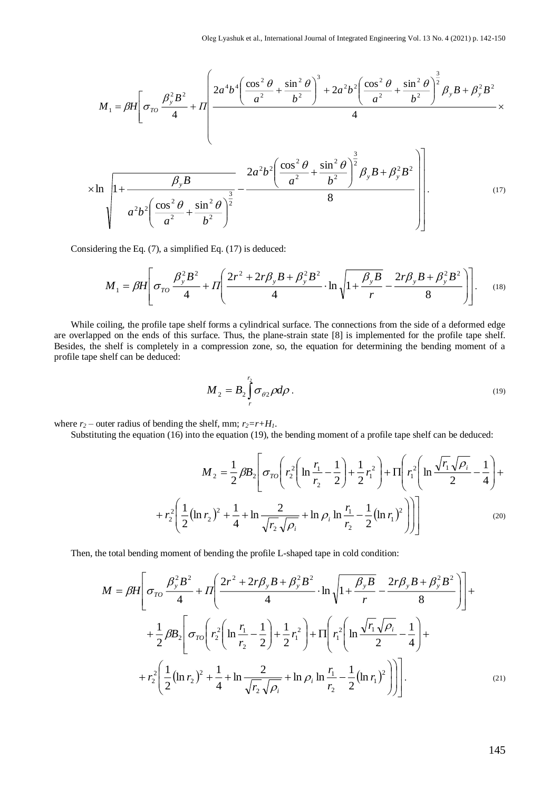$$
M_{1} = \beta H \left[ \sigma_{TO} \frac{\beta_{y}^{2} B^{2}}{4} + H \left( \frac{2a^{4} b^{4} \left( \frac{\cos^{2} \theta}{a^{2}} + \frac{\sin^{2} \theta}{b^{2}} \right)^{3} + 2a^{2} b^{2} \left( \frac{\cos^{2} \theta}{a^{2}} + \frac{\sin^{2} \theta}{b^{2}} \right)^{3}}{4} \right) \times \frac{1}{2} B_{y} B + \beta_{y}^{2} B^{2} \times \frac{1}{2} B_{z} B + \beta_{z}^{2} B^{2} \times \frac{1}{2} B_{z} B + \beta_{z}^{2} B^{2} \times \frac{1}{2} B_{z} B + \beta_{z}^{2} B^{2} \times \frac{1}{2} B_{z} B + \beta_{z}^{2} B^{2} \times \frac{1}{2} B_{z} B + \beta_{z}^{2} B^{2} \times \frac{1}{2} B_{z} B + \beta_{z}^{2} B^{2} \times \frac{1}{2} B_{z} B + \beta_{z}^{2} B^{2} \times \frac{1}{2} B_{z} B + \beta_{z}^{2} B^{2} \times \frac{1}{2} B_{z} B + \beta_{z}^{2} B^{2} \times \frac{1}{2} B_{z} B + \beta_{z}^{2} B^{2} \times \frac{1}{2} B_{z} B + \beta_{z}^{2} B^{2} \times \frac{1}{2} B_{z} B + \beta_{z}^{2} B^{2} \times \frac{1}{2} B_{z} B + \beta_{z}^{2} B^{2} \times \frac{1}{2} B_{z} B + \beta_{z}^{2} B^{2} \times \frac{1}{2} B_{z} B + \beta_{z}^{2} B^{2} \times \frac{1}{2} B_{z} B + \beta_{z}^{2} B^{2} \times \frac{1}{2} B_{z} B + \beta_{z}^{2} B^{2} \times \frac{1}{2} B_{z} B + \beta_{z}^{2} B^{2} \times \frac{1}{2} B_{z} B + \beta_{z}^{2} B^{2} \times \frac{1}{2} B_{z} B + \beta_{z}^{2} B^{2} \times \frac{1}{2} B_{z} B + \beta_{z}^{2} B^{2} \times \frac{1}{2} B_{z} B + \beta_{z}^{2
$$

Considering the Eq. (7), a simplified Eq. (17) is deduced:

$$
M_1 = \beta H \left[ \sigma_{TO} \frac{\beta_y^2 B^2}{4} + \Pi \left( \frac{2r^2 + 2r\beta_y B + \beta_y^2 B^2}{4} \cdot \ln \sqrt{1 + \frac{\beta_y B}{r}} - \frac{2r\beta_y B + \beta_y^2 B^2}{8} \right) \right].
$$
 (18)

While coiling, the profile tape shelf forms a cylindrical surface. The connections from the side of a deformed edge are overlapped on the ends of this surface. Thus, the plane-strain state [8] is implemented for the profile tape shelf. Besides, the shelf is completely in a compression zone, so, the equation for determining the bending moment of a profile tape shelf can be deduced:

$$
M_2 = B_2 \int\limits_r^{r_2} \sigma_{\theta 2} \rho d\rho \,. \tag{19}
$$

where  $r_2$  – outer radius of bending the shelf, mm;  $r_2 = r + H_1$ .

Substituting the equation (16) into the equation (19), the bending moment of a profile tape shelf can be deduced:

$$
M_{2} = \frac{1}{2} \beta B_{2} \left[ \sigma_{TO} \left( r_{2}^{2} \left( \ln \frac{r_{1}}{r_{2}} - \frac{1}{2} \right) + \frac{1}{2} r_{1}^{2} \right) + \Pi \left( r_{1}^{2} \left( \ln \frac{\sqrt{r_{1}} \sqrt{\rho_{i}}}{2} - \frac{1}{4} \right) + r_{2}^{2} \left( \frac{1}{2} (\ln r_{2})^{2} + \frac{1}{4} + \ln \frac{2}{\sqrt{r_{2}} \sqrt{\rho_{i}}} + \ln \rho_{i} \ln \frac{r_{1}}{r_{2}} - \frac{1}{2} (\ln r_{1})^{2} \right) \right] \right]
$$
(20)

Then, the total bending moment of bending the profile L-shaped tape in cold condition:

$$
M = \beta H \left[ \sigma_{TO} \frac{\beta_y^2 B^2}{4} + \Pi \left( \frac{2r^2 + 2r\beta_y B + \beta_y^2 B^2}{4} \cdot \ln \sqrt{1 + \frac{\beta_y B}{r}} - \frac{2r\beta_y B + \beta_y^2 B^2}{8} \right) \right] +
$$
  
+ 
$$
\frac{1}{2} \beta B_2 \left[ \sigma_{TO} \left( r_2^2 \left( \ln \frac{r_1}{r_2} - \frac{1}{2} \right) + \frac{1}{2} r_1^2 \right) + \Pi \left( r_1^2 \left( \ln \frac{\sqrt{r_1} \sqrt{\rho_i}}{2} - \frac{1}{4} \right) + \right. \right.
$$

$$
+ r_2^2 \left( \frac{1}{2} (\ln r_2)^2 + \frac{1}{4} + \ln \frac{2}{\sqrt{r_2} \sqrt{\rho_i}} + \ln \rho_i \ln \frac{r_1}{r_2} - \frac{1}{2} (\ln r_1)^2 \right) \right]. \tag{21}
$$

145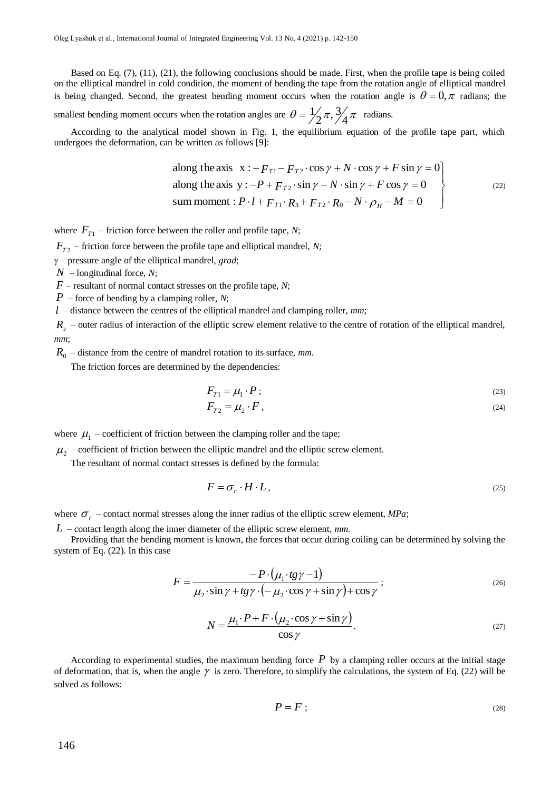Based on Eq. (7), (11), (21), the following conclusions should be made. First, when the profile tape is being coiled on the elliptical mandrel in cold condition, the moment of bending the tape from the rotation angle of elliptical mandrel is being changed. Second, the greatest bending moment occurs when the rotation angle is  $\theta = 0, \pi$  radians; the

smallest bending moment occurs when the rotation angles are  $\theta = \frac{1}{2}\pi$ ,  $\frac{3}{4}\pi$  $=\frac{1}{2}\pi$ ,  $\frac{3}{4}\pi$  radians.

According to the analytical model shown in Fig. 1, the equilibrium equation of the profile tape part, which undergoes the deformation, can be written as follows [9]:

along the axis 
$$
x: -F_{T1} - F_{T2} \cdot \cos \gamma + N \cdot \cos \gamma + F \sin \gamma = 0
$$
  
along the axis  $y: -P + F_{T2} \cdot \sin \gamma - N \cdot \sin \gamma + F \cos \gamma = 0$   
sum moment :  $P \cdot l + F_{T1} \cdot R_3 + F_{T2} \cdot R_0 - N \cdot \rho_H - M = 0$  (22)

where  $F_{T_1}$  – friction force between the roller and profile tape, *N*;

 $F_{T2}$  – friction force between the profile tape and elliptical mandrel, *N*;

– pressure angle of the elliptical mandrel, *grad*;

*N* – longitudinal force, *N*;

*F* – resultant of normal contact stresses on the profile tape, *N*;

*P* – force of bending by a clamping roller, *N*;

*l* – distance between the centres of the elliptical mandrel and clamping roller, *mm*;

 $R<sub>3</sub>$  – outer radius of interaction of the elliptic screw element relative to the centre of rotation of the elliptical mandrel, *mm*;

*R*<sup>0</sup> – distance from the centre of mandrel rotation to its surface, *mm*.

The friction forces are determined by the dependencies:

$$
F_{T1} = \mu_1 \cdot P \tag{23}
$$

$$
F_{T2} = \mu_2 \cdot F \tag{24}
$$

where  $\mu_1$  – coefficient of friction between the clamping roller and the tape;

 $\mu_2$  – coefficient of friction between the elliptic mandrel and the elliptic screw element.

The resultant of normal contact stresses is defined by the formula:

$$
F = \sigma_r \cdot H \cdot L, \tag{25}
$$

where  $\sigma_r$  – contact normal stresses along the inner radius of the elliptic screw element, *MPa*;

*L* – contact length along the inner diameter of the elliptic screw element, *mm*.

Providing that the bending moment is known, the forces that occur during coiling can be determined by solving the system of Eq. (22). In this case

$$
F = \frac{-P \cdot (\mu_1 \cdot tg\gamma - 1)}{\mu_2 \cdot \sin \gamma + tg\gamma \cdot (-\mu_2 \cdot \cos \gamma + \sin \gamma) + \cos \gamma};
$$
\n(26)

$$
N = \frac{\mu_1 \cdot P + F \cdot (\mu_2 \cdot \cos \gamma + \sin \gamma)}{\cos \gamma}.
$$
 (27)

According to experimental studies, the maximum bending force  $P$  by a clamping roller occurs at the initial stage of deformation, that is, when the angle  $\gamma$  is zero. Therefore, to simplify the calculations, the system of Eq. (22) will be solved as follows:

$$
P = F \tag{28}
$$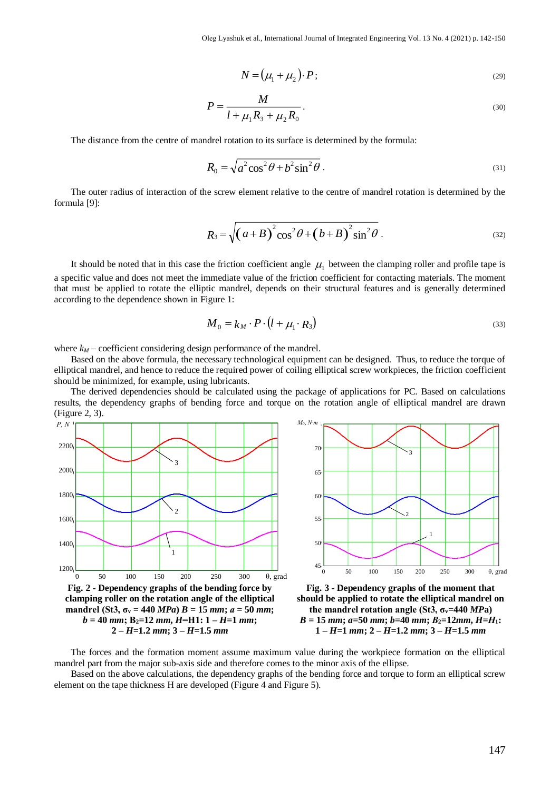$$
N = (\mu_1 + \mu_2) \cdot P \tag{29}
$$

$$
P = \frac{M}{l + \mu_1 R_3 + \mu_2 R_0}.
$$
\n(30)

The distance from the centre of mandrel rotation to its surface is determined by the formula:

$$
R_0 = \sqrt{a^2 \cos^2 \theta + b^2 \sin^2 \theta} \tag{31}
$$

The outer radius of interaction of the screw element relative to the centre of mandrel rotation is determined by the formula [9]:

$$
R_3 = \sqrt{\left(a+B\right)^2 \cos^2\theta + \left(b+B\right)^2 \sin^2\theta} \ . \tag{32}
$$

It should be noted that in this case the friction coefficient angle  $\mu_1$  between the clamping roller and profile tape is a specific value and does not meet the immediate value of the friction coefficient for contacting materials. The moment that must be applied to rotate the elliptic mandrel, depends on their structural features and is generally determined according to the dependence shown in Figure 1:

$$
M_0 = k_M \cdot P \cdot (l + \mu_1 \cdot R_3) \tag{33}
$$

where  $k_M$  – coefficient considering design performance of the mandrel.

Based on the above formula, the necessary technological equipment can be designed. Thus, to reduce the torque of elliptical mandrel, and hence to reduce the required power of coiling elliptical screw workpieces, the friction coefficient should be minimized, for example, using lubricants.

The derived dependencies should be calculated using the package of applications for PC. Based on calculations results, the dependency graphs of bending force and torque on the rotation angle of elliptical mandrel are drawn (Figure 2, 3).





**Fig. 3 - Dependency graphs of the moment that should be applied to rotate the elliptical mandrel on the mandrel rotation angle (St3, σv=440** *MP***a)**  *B* **= 15** *mm***;** *a***=50** *mm***;** *b***=40** *mm***;** *В***2=12***mm***,** *H***=***Н***1: 1 –** *H***=1** *mm***; 2 –** *H***=1.2** *mm***; 3 –** *H***=1.5** *mm*

The forces and the formation moment assume maximum value during the workpiece formation on the elliptical mandrel part from the major sub-axis side and therefore comes to the minor axis of the ellipse.

Based on the above calculations, the dependency graphs of the bending force and torque to form an elliptical screw element on the tape thickness H are developed (Figure 4 and Figure 5).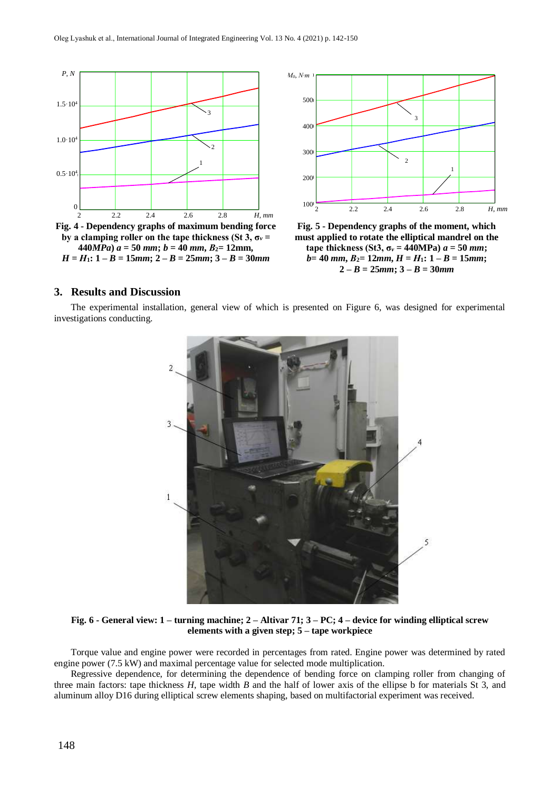



**Fig. 5 - Dependency graphs of the moment, which must applied to rotate the elliptical mandrel on the tape thickness (St3,**  $\sigma_v = 440MPa$ **)**  $a = 50$  *mm*;  $b = 40$  *mm*,  $B_2 = 12$ *mm*,  $H = H_1$ :  $1 - B = 15$ *mm*;  $2 - B = 25$ *mm*;  $3 - B = 30$ *mm* 

# **3. Results and Discussion**

The experimental installation, general view of which is presented on Figure 6, was designed for experimental investigations conducting.



**Fig. 6 - General view: 1 – turning machine; 2 – Altivar 71; 3 – PC; 4 – device for winding elliptical screw elements with a given step; 5 – tape workpiece**

Torque value and engine power were recorded in percentages from rated. Engine power was determined by rated engine power (7.5 kW) and maximal percentage value for selected mode multiplication.

Regressive dependence, for determining the dependence of bending force on clamping roller from changing of three main factors: tape thickness *H*, tape width *B* and the half of lower axis of the ellipse b for materials St 3, and aluminum alloy D16 during elliptical screw elements shaping, based on multifactorial experiment was received.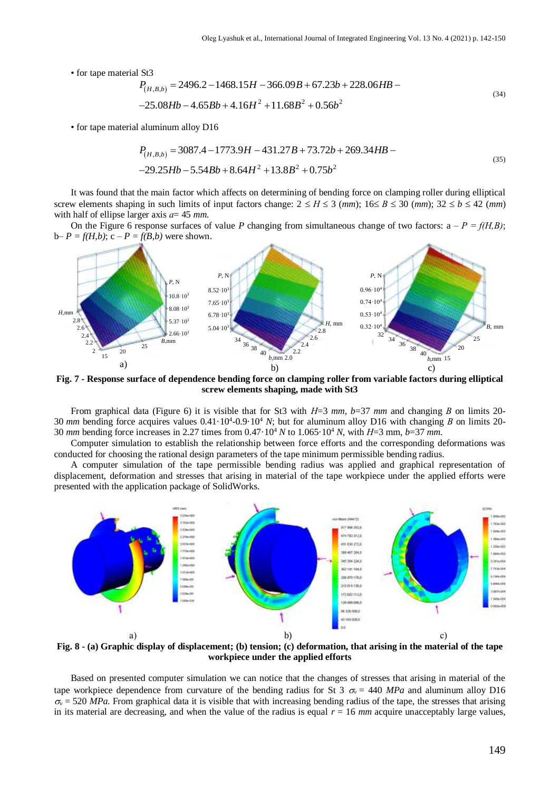• for tape material St3

$$
P_{(H,B,b)} = 2496.2 - 1468.15H - 366.09B + 67.23b + 228.06HB - 25.08Hb - 4.65Bb + 4.16H2 + 11.68B2 + 0.56b2
$$
\n(34)

• for tape material aluminum alloy D16

$$
P_{(H,B,b)} = 3087.4 - 1773.9H - 431.27B + 73.72b + 269.34HB --29.25Hb - 5.54Bb + 8.64H2 + 13.8B2 + 0.75b2
$$
\n(35)

It was found that the main factor which affects on determining of bending force on clamping roller during elliptical screw elements shaping in such limits of input factors change:  $2 \le H \le 3$  (*mm*);  $16 \le B \le 30$  (*mm*);  $32 \le b \le 42$  (*mm*) with half of ellipse larger axis *а*= 45 *mm*.

On the Figure 6 response surfaces of value *P* changing from simultaneous change of two factors:  $a - P = f(H, B)$ ;  $b-P = f(H,b); c-P = f(B,b)$  were shown.



**Fig. 7 - Response surface of dependence bending force on clamping roller from variable factors during elliptical screw elements shaping, made with St3**

From graphical data (Figure 6) it is visible that for St3 with *Н*=3 *mm*, *b*=37 *mm* and changing *В* on limits 20- 30 *mm* bending force acquires values 0.41·10<sup>4</sup>-0.9·10<sup>4</sup> *N*; but for aluminum alloy D16 with changing *B* on limits 20-30 *mm* bending force increases in 2.27 times from 0.47·10<sup>4</sup> *N* to 1.065·10<sup>4</sup> *N*, with *Н*=3 mm, *b*=37 *mm*.

Computer simulation to establish the relationship between force efforts and the corresponding deformations was conducted for choosing the rational design parameters of the tape minimum permissible bending radius.

A computer simulation of the tape permissible bending radius was applied and graphical representation of displacement, deformation and stresses that arising in material of the tape workpiece under the applied efforts were presented with the application package of SolidWorks.



**Fig. 8 - (a) Graphic display of displacement; (b) tension; (c) deformation, that arising in the material of the tape workpiece under the applied efforts**

Based on presented computer simulation we can notice that the changes of stresses that arising in material of the tape workpiece dependence from curvature of the bending radius for St 3  $\sigma_v = 440$  MPa and aluminum alloy D16  $\sigma_{v}$  = 520 *MPa*. From graphical data it is visible that with increasing bending radius of the tape, the stresses that arising in its material are decreasing, and when the value of the radius is equal  $r = 16$  mm acquire unacceptably large values,